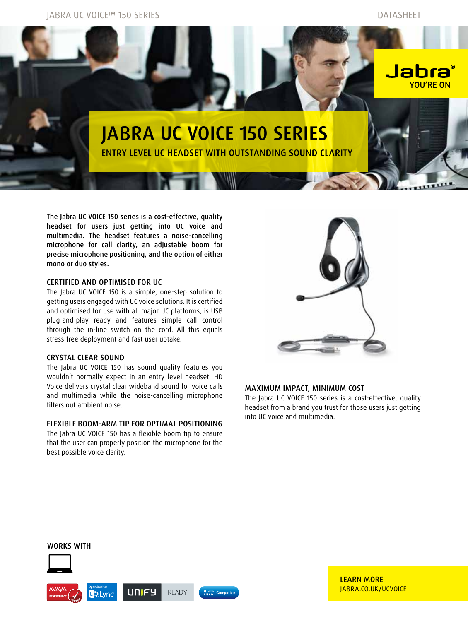Jabra UC VOICE™ 150 Series Datasheet



The Jabra UC VOICE 150 series is a cost-effective, quality headset for users just getting into UC voice and multimedia. The headset features a noise-cancelling microphone for call clarity, an adjustable boom for precise microphone positioning, and the option of either mono or duo styles.

## Certified and optimised for UC

The Jabra UC VOICE 150 is a simple, one-step solution to getting users engaged with UC voice solutions. It is certified and optimised for use with all major UC platforms, is USB plug-and-play ready and features simple call control through the in-line switch on the cord. All this equals stress-free deployment and fast user uptake.

## Crystal clear sound

The Jabra UC VOICE 150 has sound quality features you wouldn't normally expect in an entry level headset. HD Voice delivers crystal clear wideband sound for voice calls and multimedia while the noise-cancelling microphone filters out ambient noise.

# Flexible boom-arm tip for optimal positioning

The Jabra UC VOICE 150 has a flexible boom tip to ensure that the user can properly position the microphone for the best possible voice clarity.



## Maximum impact, minimum cost

The Jabra UC VOICE 150 series is a cost-effective, quality headset from a brand you trust for those users just getting into UC voice and multimedia.

## WORKS WITH



LEARN MORE Jabra.co.uk/UCVOICE